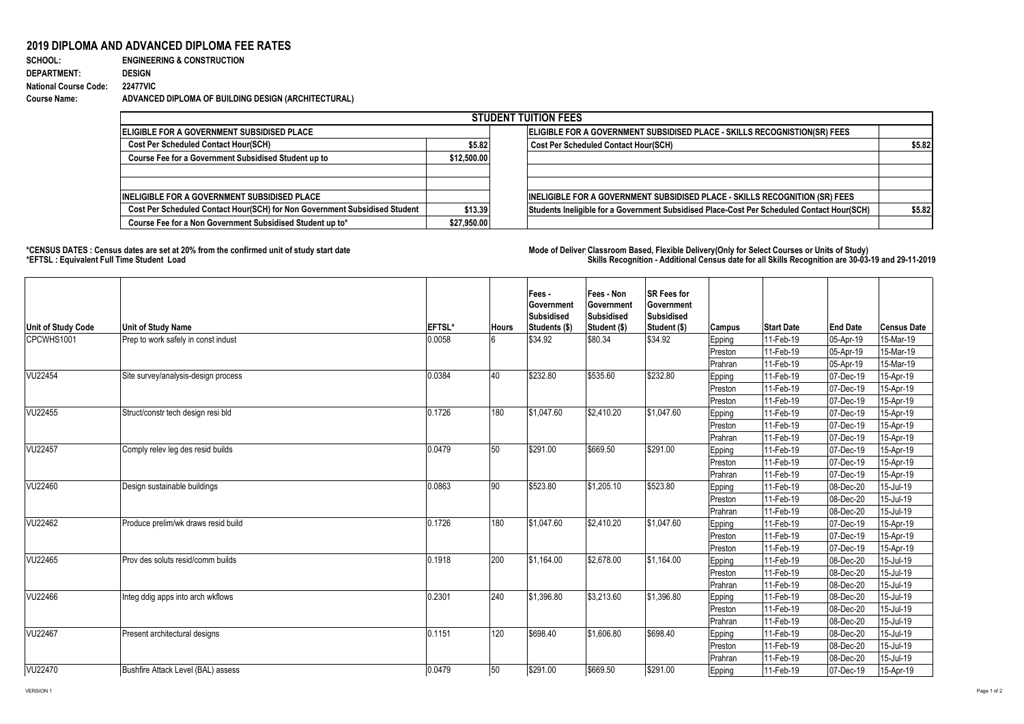## **2019 DIPLOMA AND ADVANCED DIPLOMA FEE RATES**<br>SCHOOL: ENGINEERING & CONSTRUCTION

## **ENGINEERING & CONSTRUCTION DEPARTMENT: DESIGN National Course Code: 22477VIC Course Name: ADVANCED DIPLOMA OF BUILDING DESIGN (ARCHITECTURAL)**

|                                                                            |             | <b>STUDENT TUITION FEES</b>                                                                |        |  |  |
|----------------------------------------------------------------------------|-------------|--------------------------------------------------------------------------------------------|--------|--|--|
| <b>IELIGIBLE FOR A GOVERNMENT SUBSIDISED PLACE</b>                         |             | ELIGIBLE FOR A GOVERNMENT SUBSIDISED PLACE - SKILLS RECOGNISTION(SR) FEES                  |        |  |  |
| <b>Cost Per Scheduled Contact Hour(SCH)</b>                                | \$5.82      | <b>Cost Per Scheduled Contact Hour(SCH)</b>                                                | \$5.82 |  |  |
| Course Fee for a Government Subsidised Student up to                       | \$12,500.00 |                                                                                            |        |  |  |
|                                                                            |             |                                                                                            |        |  |  |
| <b>INELIGIBLE FOR A GOVERNMENT SUBSIDISED PLACE</b>                        |             | <b>INELIGIBLE FOR A GOVERNMENT SUBSIDISED PLACE - SKILLS RECOGNITION (SR) FEES</b>         |        |  |  |
| Cost Per Scheduled Contact Hour(SCH) for Non Government Subsidised Student | \$13.39     | Students Ineligible for a Government Subsidised Place-Cost Per Scheduled Contact Hour(SCH) | \$5.82 |  |  |
| Course Fee for a Non Government Subsidised Student up to*                  | \$27.950.00 |                                                                                            |        |  |  |

**\*CENSUS DATES : Census dates are set at 20% from the confirmed unit of study start date Mode of DeliveryClassroom Based, Flexible Delivery(Only for Select Courses or Units of Study) \*EFTSL : Equivalent Full Time Student Load Skills Recognition - Additional Census date for all Skills Recognition are 30-03-19 and 29-11-2019** 

|                    |                                     |        |              | Fees -<br>Government        | Fees - Non<br>Government          | <b>SR Fees for</b><br>Government  |         |                   |                 |                    |
|--------------------|-------------------------------------|--------|--------------|-----------------------------|-----------------------------------|-----------------------------------|---------|-------------------|-----------------|--------------------|
| Unit of Study Code | Unit of Study Name                  | EFTSL* | <b>Hours</b> | Subsidised<br>Students (\$) | <b>Subsidised</b><br>Student (\$) | <b>Subsidised</b><br>Student (\$) | Campus  | <b>Start Date</b> | <b>End Date</b> | <b>Census Date</b> |
| CPCWHS1001         | Prep to work safely in const indust | 0.0058 |              | \$34.92                     | \$80.34                           | \$34.92                           | Epping  | 11-Feb-19         | 05-Apr-19       | 15-Mar-19          |
|                    |                                     |        |              |                             |                                   |                                   | Preston | 11-Feb-19         | 05-Apr-19       | 15-Mar-19          |
|                    |                                     |        |              |                             |                                   |                                   | Prahran | 11-Feb-19         | 05-Apr-19       | 15-Mar-19          |
| VU22454            | Site survey/analysis-design process | 0.0384 | 40           | \$232.80                    | \$535.60                          | \$232.80                          | Epping  | 11-Feb-19         | 07-Dec-19       | 15-Apr-19          |
|                    |                                     |        |              |                             |                                   |                                   | Preston | 11-Feb-19         | 07-Dec-19       | 15-Apr-19          |
|                    |                                     |        |              |                             |                                   |                                   | Preston | 11-Feb-19         | 07-Dec-19       | 15-Apr-19          |
| VU22455            | Struct/constr tech design resi bld  | 0.1726 | 180          | \$1,047.60                  | \$2,410.20                        | \$1,047.60                        | Epping  | 11-Feb-19         | 07-Dec-19       | 15-Apr-19          |
|                    |                                     |        |              |                             |                                   |                                   | Preston | 11-Feb-19         | 07-Dec-19       | 15-Apr-19          |
|                    |                                     |        |              |                             |                                   |                                   | Prahran | 11-Feb-19         | 07-Dec-19       | 15-Apr-19          |
| <b>VU22457</b>     | Comply relev leg des resid builds   | 0.0479 | 50           | \$291.00                    | \$669.50                          | \$291.00                          | Epping  | 11-Feb-19         | 07-Dec-19       | 15-Apr-19          |
|                    |                                     |        |              |                             |                                   |                                   | Preston | 11-Feb-19         | 07-Dec-19       | 15-Apr-19          |
|                    |                                     |        |              |                             |                                   |                                   | Prahran | 11-Feb-19         | 07-Dec-19       | 15-Apr-19          |
| VU22460            | Design sustainable buildings        | 0.0863 | 90           | \$523.80                    | $\sqrt{$1,205.10}$                | \$523.80                          | Epping  | 11-Feb-19         | 08-Dec-20       | 15-Jul-19          |
|                    |                                     |        |              |                             |                                   |                                   | Preston | 11-Feb-19         | 08-Dec-20       | 15-Jul-19          |
|                    |                                     |        |              |                             |                                   |                                   | Prahran | 11-Feb-19         | 08-Dec-20       | 15-Jul-19          |
| VU22462            | Produce prelim/wk draws resid build | 0.1726 | 180          | \$1,047.60                  | \$2,410.20                        | \$1.047.60                        | Epping  | 11-Feb-19         | 07-Dec-19       | 15-Apr-19          |
|                    |                                     |        |              |                             |                                   |                                   | Preston | 11-Feb-19         | 07-Dec-19       | 15-Apr-19          |
|                    |                                     |        |              |                             |                                   |                                   | Preston | 11-Feb-19         | 07-Dec-19       | 15-Apr-19          |
| VU22465            | Prov des soluts resid/comm builds   | 0.1918 | 200          | \$1,164.00                  | $\sqrt{$2,678.00}$                | \$1,164.00                        | Epping  | 11-Feb-19         | 08-Dec-20       | 15-Jul-19          |
|                    |                                     |        |              |                             |                                   |                                   | Preston | 11-Feb-19         | 08-Dec-20       | 15-Jul-19          |
|                    |                                     |        |              |                             |                                   |                                   | Prahran | 11-Feb-19         | 08-Dec-20       | 15-Jul-19          |
| VU22466            | Integ ddig apps into arch wkflows   | 0.2301 | 240          | \$1,396.80                  | \$3,213.60                        | \$1,396.80                        | Epping  | 11-Feb-19         | 08-Dec-20       | 15-Jul-19          |
|                    |                                     |        |              |                             |                                   |                                   | Preston | 11-Feb-19         | 08-Dec-20       | 15-Jul-19          |
|                    |                                     |        |              |                             |                                   |                                   | Prahran | 11-Feb-19         | 08-Dec-20       | 15-Jul-19          |
| VU22467            | Present architectural designs       | 0.1151 | 120          | \$698.40                    | \$1,606.80                        | \$698.40                          | Epping  | 11-Feb-19         | 08-Dec-20       | 15-Jul-19          |
|                    |                                     |        |              |                             |                                   |                                   | Preston | 11-Feb-19         | 08-Dec-20       | 15-Jul-19          |
|                    |                                     |        |              |                             |                                   |                                   | Prahran | 11-Feb-19         | 08-Dec-20       | 15-Jul-19          |
| VU22470            | Bushfire Attack Level (BAL) assess  | 0.0479 | 50           | \$291.00                    | \$669.50                          | \$291.00                          | Epping  | 11-Feb-19         | 07-Dec-19       | 15-Apr-19          |